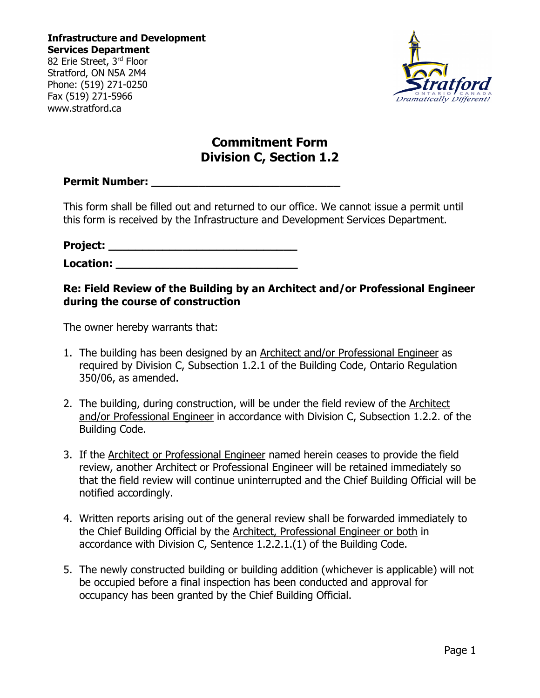**Infrastructure and Development Services Department** 82 Erie Street, 3rd Floor

Stratford, ON N5A 2M4 Phone: (519) 271-0250 Fax (519) 271-5966 www.stratford.ca



## **Commitment Form Division C, Section 1.2**

### **Permit Number:** *Permit Number:*

This form shall be filled out and returned to our office. We cannot issue a permit until this form is received by the Infrastructure and Development Services Department.

# **Project: \_\_\_\_\_\_\_\_\_\_\_\_\_\_\_\_\_\_\_\_\_\_\_\_\_\_\_\_**

**Location: \_\_\_\_\_\_\_\_\_\_\_\_\_\_\_\_\_\_\_\_\_\_\_\_\_\_\_**

## **Re: Field Review of the Building by an Architect and/or Professional Engineer during the course of construction**

The owner hereby warrants that:

- 1. The building has been designed by an Architect and/or Professional Engineer as required by Division C, Subsection 1.2.1 of the Building Code, Ontario Regulation 350/06, as amended.
- 2. The building, during construction, will be under the field review of the Architect and/or Professional Engineer in accordance with Division C, Subsection 1.2.2. of the Building Code.
- 3. If the Architect or Professional Engineer named herein ceases to provide the field review, another Architect or Professional Engineer will be retained immediately so that the field review will continue uninterrupted and the Chief Building Official will be notified accordingly.
- 4. Written reports arising out of the general review shall be forwarded immediately to the Chief Building Official by the Architect, Professional Engineer or both in accordance with Division C, Sentence 1.2.2.1.(1) of the Building Code.
- 5. The newly constructed building or building addition (whichever is applicable) will not be occupied before a final inspection has been conducted and approval for occupancy has been granted by the Chief Building Official.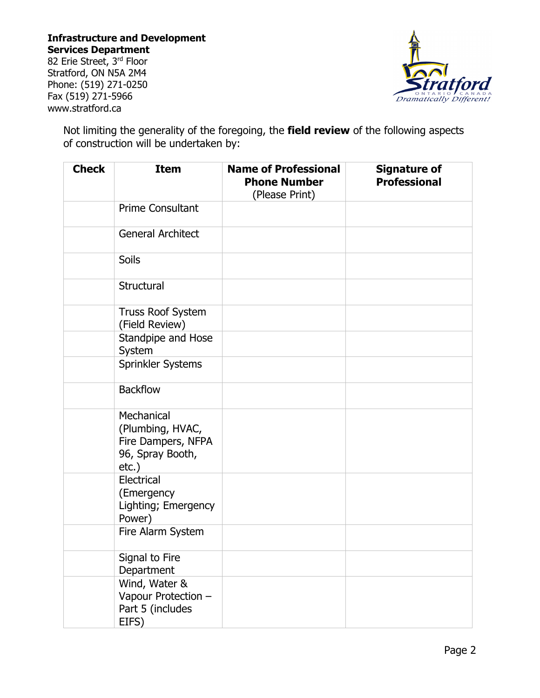## **Infrastructure and Development Services Department**

82 Erie Street, 3rd Floor Stratford, ON N5A 2M4 Phone: (519) 271-0250 Fax (519) 271-5966 www.stratford.ca



Not limiting the generality of the foregoing, the **field review** of the following aspects of construction will be undertaken by:

| <b>Check</b> | <b>Item</b>                                                                          | <b>Name of Professional</b><br><b>Phone Number</b><br>(Please Print) | <b>Signature of</b><br><b>Professional</b> |
|--------------|--------------------------------------------------------------------------------------|----------------------------------------------------------------------|--------------------------------------------|
|              | <b>Prime Consultant</b>                                                              |                                                                      |                                            |
|              | <b>General Architect</b>                                                             |                                                                      |                                            |
|              | <b>Soils</b>                                                                         |                                                                      |                                            |
|              | Structural                                                                           |                                                                      |                                            |
|              | <b>Truss Roof System</b><br>(Field Review)                                           |                                                                      |                                            |
|              | Standpipe and Hose<br>System                                                         |                                                                      |                                            |
|              | Sprinkler Systems                                                                    |                                                                      |                                            |
|              | <b>Backflow</b>                                                                      |                                                                      |                                            |
|              | Mechanical<br>(Plumbing, HVAC,<br>Fire Dampers, NFPA<br>96, Spray Booth,<br>$etc.$ ) |                                                                      |                                            |
|              | Electrical<br>(Emergency<br>Lighting; Emergency<br>Power)                            |                                                                      |                                            |
|              | Fire Alarm System                                                                    |                                                                      |                                            |
|              | Signal to Fire<br>Department                                                         |                                                                      |                                            |
|              | Wind, Water &<br>Vapour Protection -<br>Part 5 (includes<br>EIFS)                    |                                                                      |                                            |